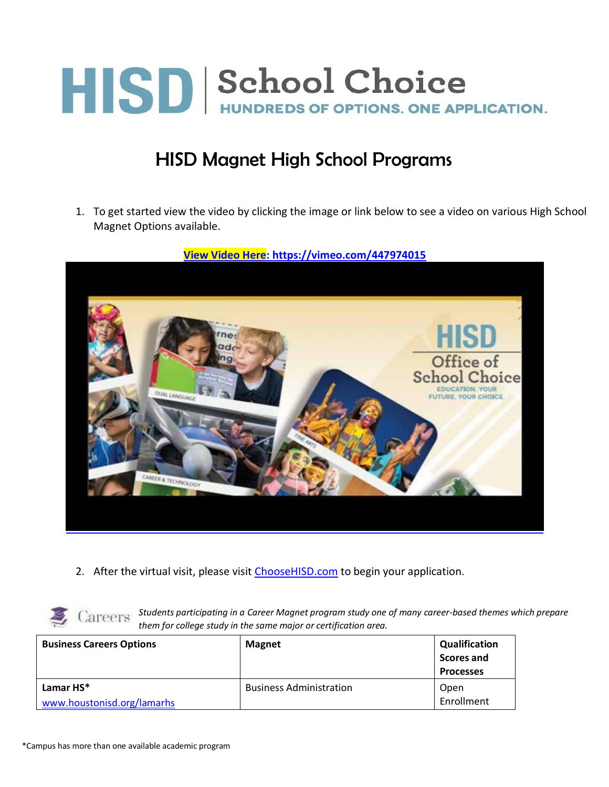

#### HISD Magnet High School Programs

1. To get started view the video by clicking the image or link below to see a video on various High School Magnet Options available.



**[View Video Here:](https://vimeo.com/447974015) https://vimeo.com/447974015**

2. After the virtual visit, please visit [ChooseHISD.com](https://www.houstonisd.org/magnet) to begin your application.



*Students participating in a Career Magnet program study one of many career-based themes which prepare them for college study in the same major or certification area.*

| <b>Business Careers Options</b>         | <b>Magnet</b>                  | <b>Qualification</b><br><b>Scores and</b><br><b>Processes</b> |
|-----------------------------------------|--------------------------------|---------------------------------------------------------------|
| Lamar HS*<br>www.houstonisd.org/lamarhs | <b>Business Administration</b> | Open<br>Enrollment                                            |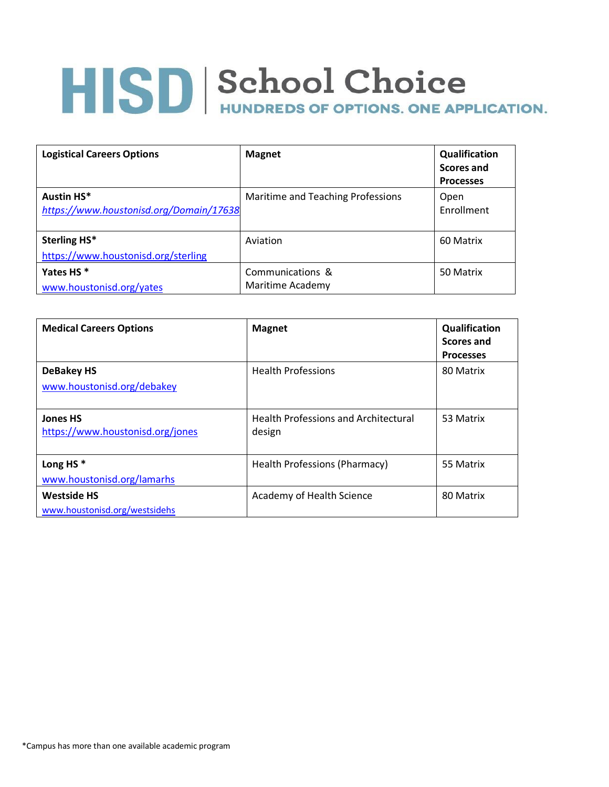| <b>Logistical Careers Options</b>                     | <b>Magnet</b>                        | <b>Qualification</b><br>Scores and<br><b>Processes</b> |
|-------------------------------------------------------|--------------------------------------|--------------------------------------------------------|
| Austin HS*<br>https://www.houstonisd.org/Domain/17638 | Maritime and Teaching Professions    | Open<br>Enrollment                                     |
| Sterling HS*<br>https://www.houstonisd.org/sterling   | Aviation                             | 60 Matrix                                              |
| Yates HS <sup>*</sup><br>www.houstonisd.org/yates     | Communications &<br>Maritime Academy | 50 Matrix                                              |

| <b>Medical Careers Options</b>                      | <b>Magnet</b>                                         | Qualification<br><b>Scores and</b><br><b>Processes</b> |
|-----------------------------------------------------|-------------------------------------------------------|--------------------------------------------------------|
| <b>DeBakey HS</b><br>www.houstonisd.org/debakey     | <b>Health Professions</b>                             | 80 Matrix                                              |
| <b>Jones HS</b><br>https://www.houstonisd.org/jones | <b>Health Professions and Architectural</b><br>design | 53 Matrix                                              |
| Long HS $*$<br>www.houstonisd.org/lamarhs           | Health Professions (Pharmacy)                         | 55 Matrix                                              |
| <b>Westside HS</b><br>www.houstonisd.org/westsidehs | Academy of Health Science                             | 80 Matrix                                              |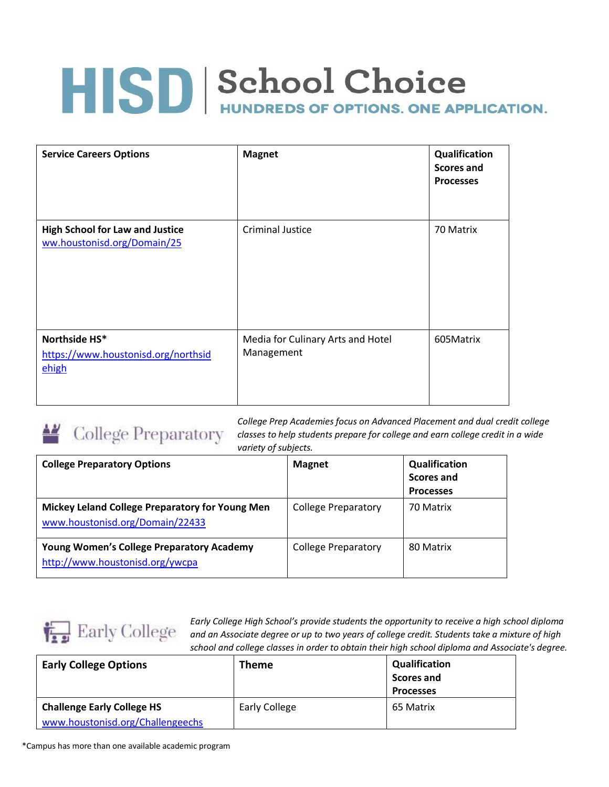| <b>Service Careers Options</b>                                        | <b>Magnet</b>                                   | Qualification<br><b>Scores and</b><br><b>Processes</b> |
|-----------------------------------------------------------------------|-------------------------------------------------|--------------------------------------------------------|
| <b>High School for Law and Justice</b><br>ww.houstonisd.org/Domain/25 | <b>Criminal Justice</b>                         | 70 Matrix                                              |
| Northside HS*<br>https://www.houstonisd.org/northsid<br>ehigh         | Media for Culinary Arts and Hotel<br>Management | 605Matrix                                              |



*College Prep Academies focus on Advanced Placement and dual credit college classes to help students prepare for college and earn college credit in a wide variety of subjects.*

| <b>College Preparatory Options</b>                                                  | <b>Magnet</b>              | Qualification<br>Scores and<br><b>Processes</b> |
|-------------------------------------------------------------------------------------|----------------------------|-------------------------------------------------|
| Mickey Leland College Preparatory for Young Men<br>www.houstonisd.org/Domain/22433  | <b>College Preparatory</b> | 70 Matrix                                       |
| <b>Young Women's College Preparatory Academy</b><br>http://www.houstonisd.org/ywcpa | <b>College Preparatory</b> | 80 Matrix                                       |



*Early College High School's provide students the opportunity to receive a high school diploma and an Associate degree or up to two years of college credit. Students take a mixture of high school and college classes in order to obtain their high school diploma and Associate's degree.*

| <b>Early College Options</b>                                          | Theme                | <b>Qualification</b><br><b>Scores and</b><br><b>Processes</b> |
|-----------------------------------------------------------------------|----------------------|---------------------------------------------------------------|
| <b>Challenge Early College HS</b><br>www.houstonisd.org/Challengeechs | <b>Early College</b> | 65 Matrix                                                     |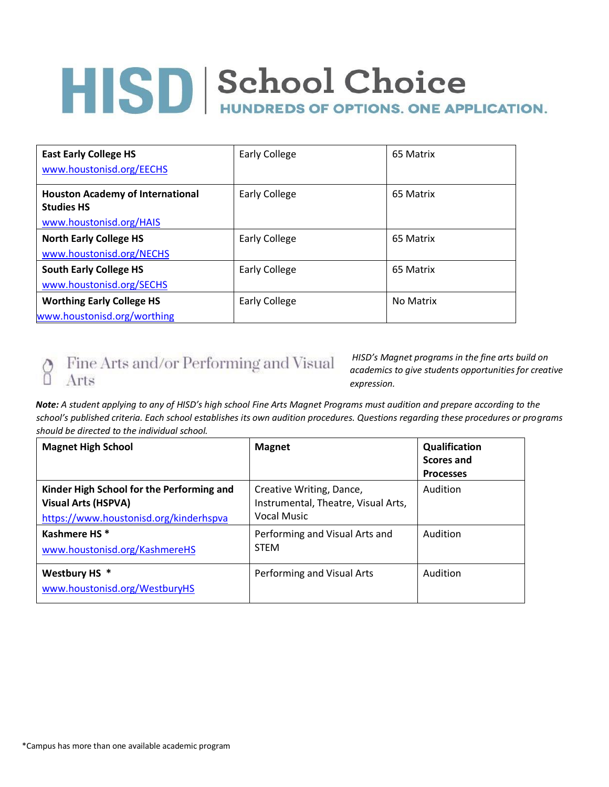| <b>East Early College HS</b><br>www.houstonisd.org/EECHS     | <b>Early College</b> | 65 Matrix |
|--------------------------------------------------------------|----------------------|-----------|
| <b>Houston Academy of International</b><br><b>Studies HS</b> | <b>Early College</b> | 65 Matrix |
| www.houstonisd.org/HAIS                                      |                      |           |
| <b>North Early College HS</b>                                | <b>Early College</b> | 65 Matrix |
| www.houstonisd.org/NECHS                                     |                      |           |
| <b>South Early College HS</b>                                | <b>Early College</b> | 65 Matrix |
| www.houstonisd.org/SECHS                                     |                      |           |
| <b>Worthing Early College HS</b>                             | <b>Early College</b> | No Matrix |
| www.houstonisd.org/worthing                                  |                      |           |

#### $\underset{\square}{\bigcirc} \quad \text{Fire Arts and/or Performing and Visual}$ Arts

*HISD's Magnet programs in the fine arts build on academics to give students opportunities for creative expression.*

*Note: A student applying to any of HISD's high school Fine Arts Magnet Programs must audition and prepare according to the school's published criteria. Each school establishes its own audition procedures. Questions regarding these procedures or programs should be directed to the individual school.*

| <b>Magnet High School</b>                                                                                         | <b>Magnet</b>                                                                         | Qualification<br>Scores and |
|-------------------------------------------------------------------------------------------------------------------|---------------------------------------------------------------------------------------|-----------------------------|
|                                                                                                                   |                                                                                       | <b>Processes</b>            |
| Kinder High School for the Performing and<br><b>Visual Arts (HSPVA)</b><br>https://www.houstonisd.org/kinderhspva | Creative Writing, Dance,<br>Instrumental, Theatre, Visual Arts,<br><b>Vocal Music</b> | Audition                    |
| Kashmere HS <sup>*</sup><br>www.houstonisd.org/KashmereHS                                                         | Performing and Visual Arts and<br><b>STEM</b>                                         | Audition                    |
| Westbury HS *<br>www.houstonisd.org/WestburyHS                                                                    | Performing and Visual Arts                                                            | Audition                    |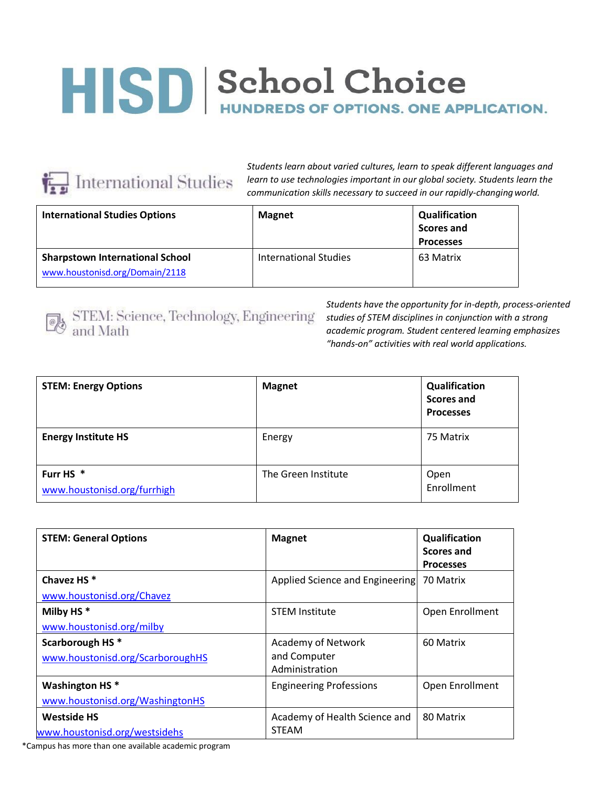

*Students learn about varied cultures, learn to speak different languages and learn to use technologies important in our global society. Students learn the communication skills necessary to succeed in our rapidly-changingworld.*

| <b>International Studies Options</b>                                     | <b>Magnet</b>         | <b>Qualification</b><br><b>Scores and</b><br><b>Processes</b> |
|--------------------------------------------------------------------------|-----------------------|---------------------------------------------------------------|
| <b>Sharpstown International School</b><br>www.houstonisd.org/Domain/2118 | International Studies | 63 Matrix                                                     |



 $\begin{tabular}{|c|c|} \hline \begin{tabular}{|c|c|} \hline \begin{tabular}{|c|c|} \hline \begin{tabular}{|c|c|} \hline \begin{tabular}{|c|c|} \hline \begin{tabular}{|c|c|} \hline \begin{tabular}{|c|c|} \hline \begin{tabular}{|c|c|} \hline \begin{tabular}{|c|c|} \hline \begin{tabular}{|c|c|} \hline \begin{tabular}{|c|c|} \hline \begin{tabular}{|c|c|} \hline \begin{tabular}{|c|c|} \hline \begin{tabular}{|c|c|} \hline \begin{tabular}{|c|c$ 

*Students have the opportunity for in-depth, process-oriented studies of STEM disciplines in conjunction with a strong academic program. Student centered learning emphasizes "hands-on" activities with real world applications.*

| <b>STEM: Energy Options</b>                         | <b>Magnet</b>       | Qualification<br>Scores and<br><b>Processes</b> |
|-----------------------------------------------------|---------------------|-------------------------------------------------|
| <b>Energy Institute HS</b>                          | Energy              | 75 Matrix                                       |
| Furr HS <sup>*</sup><br>www.houstonisd.org/furrhigh | The Green Institute | Open<br>Enrollment                              |

| <b>STEM: General Options</b>                                    | <b>Magnet</b>                                               | Qualification<br>Scores and<br><b>Processes</b> |
|-----------------------------------------------------------------|-------------------------------------------------------------|-------------------------------------------------|
| Chavez HS <sup>*</sup><br>www.houstonisd.org/Chavez             | Applied Science and Engineering                             | 70 Matrix                                       |
| Milby HS $*$<br>www.houstonisd.org/milby                        | <b>STEM Institute</b>                                       | Open Enrollment                                 |
| Scarborough HS <sup>*</sup><br>www.houstonisd.org/ScarboroughHS | <b>Academy of Network</b><br>and Computer<br>Administration | 60 Matrix                                       |
| <b>Washington HS*</b><br>www.houstonisd.org/WashingtonHS        | <b>Engineering Professions</b>                              | Open Enrollment                                 |
| <b>Westside HS</b><br>www.houstonisd.org/westsidehs             | Academy of Health Science and<br><b>STEAM</b>               | 80 Matrix                                       |

\*Campus has more than one available academic program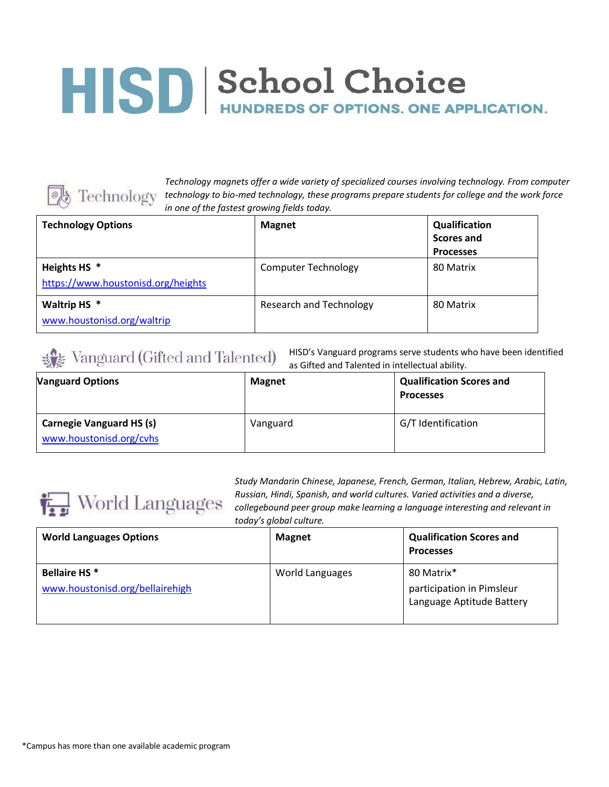

*Technology magnets offer a wide variety of specialized courses involving technology. From computer e technology technology to bio-med technology, these programs prepare students for college and the work force in one of the fastest growing fields today.*

| <b>Technology Options</b>                                     | <b>Magnet</b>                  | Qualification<br>Scores and<br><b>Processes</b> |
|---------------------------------------------------------------|--------------------------------|-------------------------------------------------|
| Heights HS <sup>*</sup><br>https://www.houstonisd.org/heights | <b>Computer Technology</b>     | 80 Matrix                                       |
| Waltrip HS *<br>www.houstonisd.org/waltrip                    | <b>Research and Technology</b> | 80 Matrix                                       |

#### Vanguard (Gifted and Talented)

HISD's Vanguard programs serve students who have been identified as Gifted and Talented in intellectual ability.

| <b>Vanguard Options</b>                                    | <b>Magnet</b> | <b>Qualification Scores and</b><br><b>Processes</b> |
|------------------------------------------------------------|---------------|-----------------------------------------------------|
| <b>Carnegie Vanguard HS (s)</b><br>www.houstonisd.org/cvhs | Vanguard      | G/T Identification                                  |



*Study Mandarin Chinese, Japanese, French, German, Italian, Hebrew, Arabic, Latin, Russian, Hindi, Spanish, and world cultures. Varied activities and a diverse, collegebound peer group make learning a language interesting and relevant in today's global culture.*

| <b>World Languages Options</b>                         | <b>Magnet</b>   | <b>Qualification Scores and</b><br><b>Processes</b>                  |
|--------------------------------------------------------|-----------------|----------------------------------------------------------------------|
| <b>Bellaire HS*</b><br>www.houstonisd.org/bellairehigh | World Languages | 80 Matrix*<br>participation in Pimsleur<br>Language Aptitude Battery |